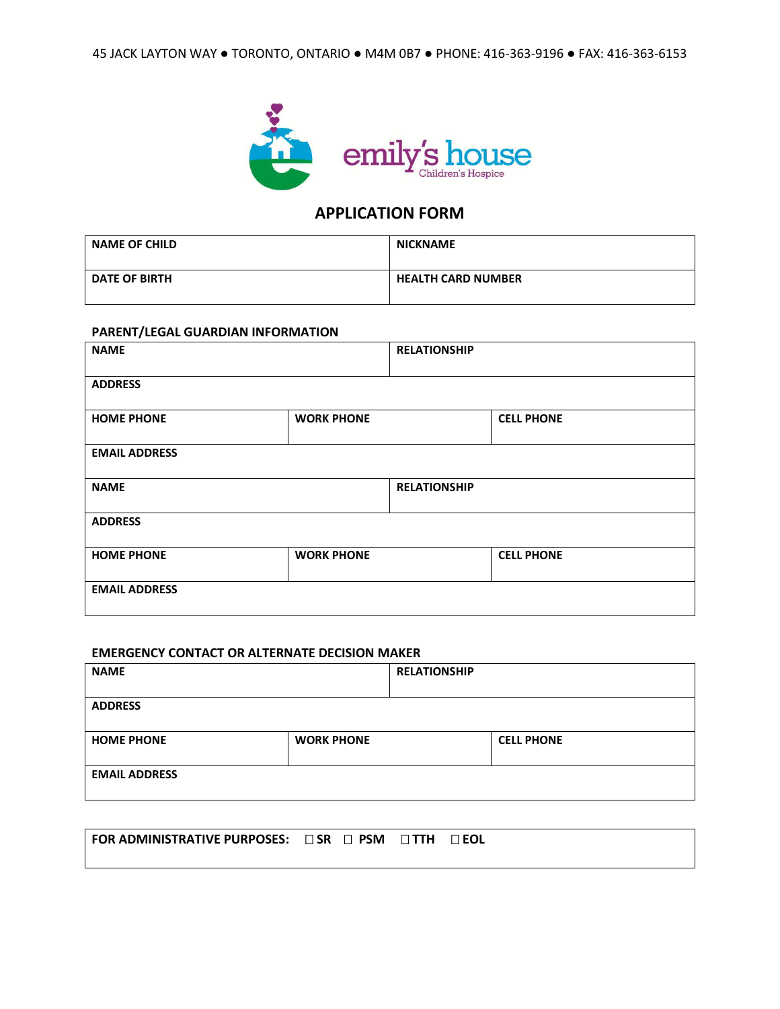

## **APPLICATION FORM**

| <b>NAME OF CHILD</b> | <b>NICKNAME</b>           |
|----------------------|---------------------------|
| <b>DATE OF BIRTH</b> | <b>HEALTH CARD NUMBER</b> |

## **PARENT/LEGAL GUARDIAN INFORMATION**

| <b>NAME</b>          |                   | <b>RELATIONSHIP</b> |                   |
|----------------------|-------------------|---------------------|-------------------|
| <b>ADDRESS</b>       |                   |                     |                   |
| <b>HOME PHONE</b>    | <b>WORK PHONE</b> |                     | <b>CELL PHONE</b> |
| <b>EMAIL ADDRESS</b> |                   |                     |                   |
| <b>NAME</b>          |                   | <b>RELATIONSHIP</b> |                   |
| <b>ADDRESS</b>       |                   |                     |                   |
| <b>HOME PHONE</b>    | <b>WORK PHONE</b> |                     | <b>CELL PHONE</b> |
| <b>EMAIL ADDRESS</b> |                   |                     |                   |

#### **EMERGENCY CONTACT OR ALTERNATE DECISION MAKER**

| <b>NAME</b>          |                   | <b>RELATIONSHIP</b> |                   |
|----------------------|-------------------|---------------------|-------------------|
|                      |                   |                     |                   |
| <b>ADDRESS</b>       |                   |                     |                   |
| <b>HOME PHONE</b>    | <b>WORK PHONE</b> |                     | <b>CELL PHONE</b> |
| <b>EMAIL ADDRESS</b> |                   |                     |                   |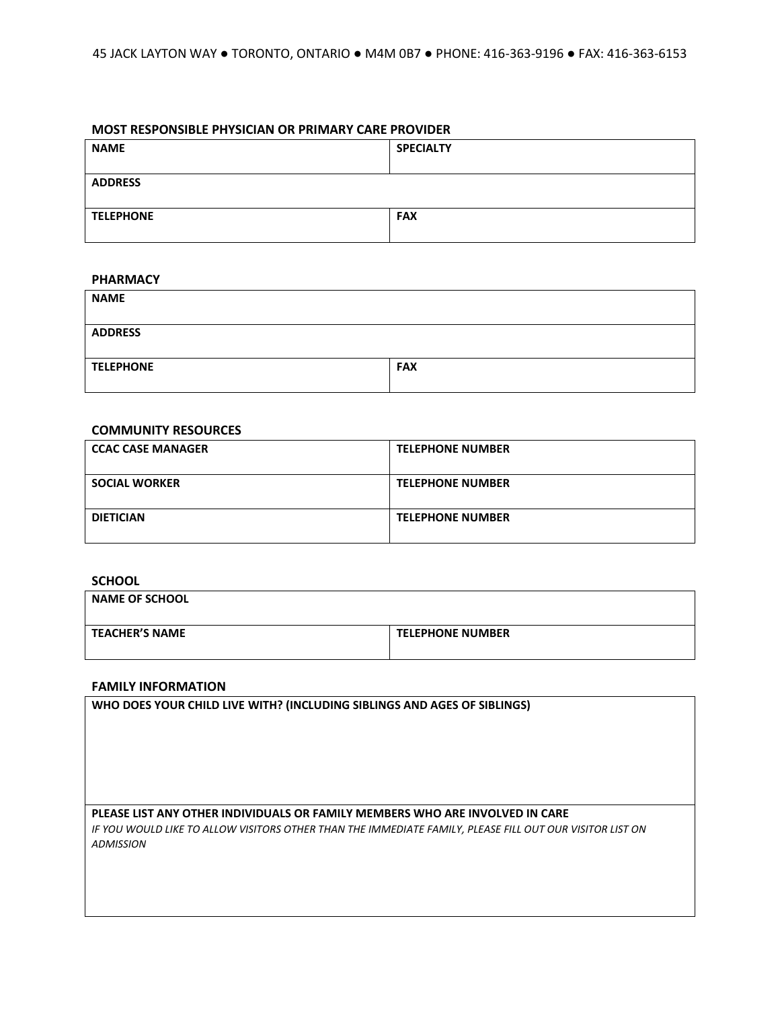## **MOST RESPONSIBLE PHYSICIAN OR PRIMARY CARE PROVIDER**

| <b>NAME</b>      | <b>SPECIALTY</b> |
|------------------|------------------|
| <b>ADDRESS</b>   |                  |
| <b>TELEPHONE</b> | <b>FAX</b>       |

## **PHARMACY**

| <b>NAME</b>      |            |
|------------------|------------|
|                  |            |
| <b>ADDRESS</b>   |            |
|                  |            |
| <b>TELEPHONE</b> | <b>FAX</b> |
|                  |            |

#### **COMMUNITY RESOURCES**

| <b>CCAC CASE MANAGER</b> | <b>TELEPHONE NUMBER</b> |
|--------------------------|-------------------------|
| <b>SOCIAL WORKER</b>     | <b>TELEPHONE NUMBER</b> |
| <b>DIETICIAN</b>         | <b>TELEPHONE NUMBER</b> |

## **SCHOOL**

| <b>NAME OF SCHOOL</b> |                         |
|-----------------------|-------------------------|
| <b>TEACHER'S NAME</b> | <b>TELEPHONE NUMBER</b> |

## **FAMILY INFORMATION**

**WHO DOES YOUR CHILD LIVE WITH? (INCLUDING SIBLINGS AND AGES OF SIBLINGS)**

## **PLEASE LIST ANY OTHER INDIVIDUALS OR FAMILY MEMBERS WHO ARE INVOLVED IN CARE**

*IF YOU WOULD LIKE TO ALLOW VISITORS OTHER THAN THE IMMEDIATE FAMILY, PLEASE FILL OUT OUR VISITOR LIST ON ADMISSION*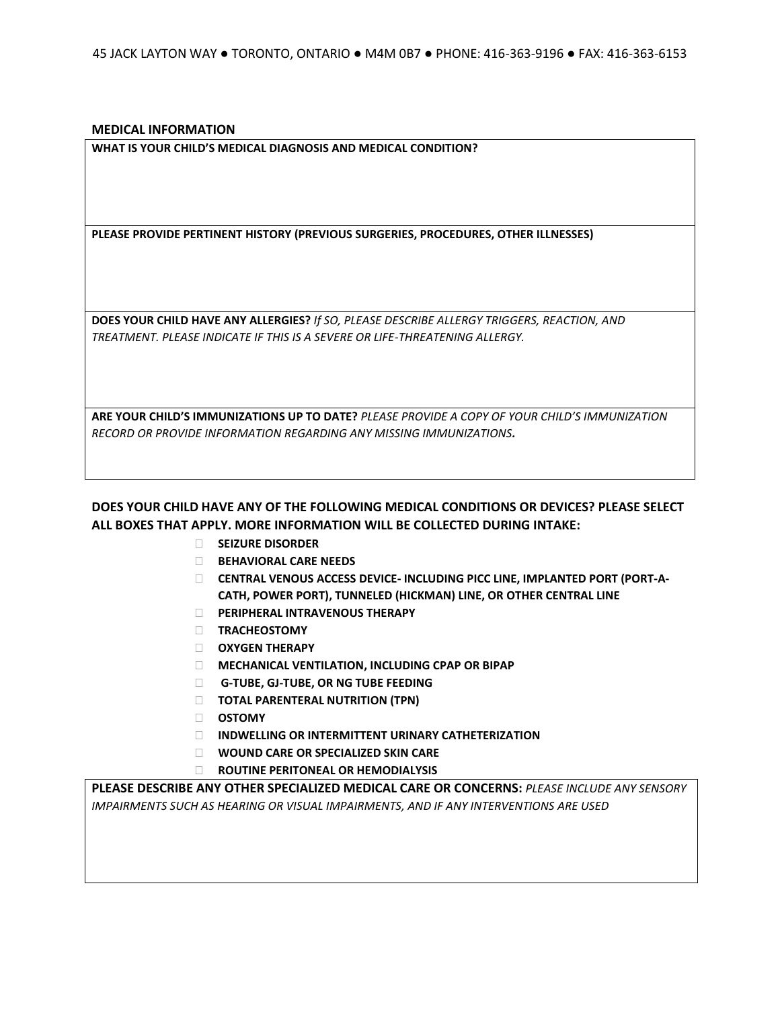**MEDICAL INFORMATION**

**WHAT IS YOUR CHILD'S MEDICAL DIAGNOSIS AND MEDICAL CONDITION?**

**PLEASE PROVIDE PERTINENT HISTORY (PREVIOUS SURGERIES, PROCEDURES, OTHER ILLNESSES)**

**DOES YOUR CHILD HAVE ANY ALLERGIES?** *If SO, PLEASE DESCRIBE ALLERGY TRIGGERS, REACTION, AND TREATMENT. PLEASE INDICATE IF THIS IS A SEVERE OR LIFE-THREATENING ALLERGY.*

**ARE YOUR CHILD'S IMMUNIZATIONS UP TO DATE?** *PLEASE PROVIDE A COPY OF YOUR CHILD'S IMMUNIZATION RECORD OR PROVIDE INFORMATION REGARDING ANY MISSING IMMUNIZATIONS.*

**DOES YOUR CHILD HAVE ANY OF THE FOLLOWING MEDICAL CONDITIONS OR DEVICES? PLEASE SELECT ALL BOXES THAT APPLY. MORE INFORMATION WILL BE COLLECTED DURING INTAKE:**

- **SEIZURE DISORDER**
- **BEHAVIORAL CARE NEEDS**
- **CENTRAL VENOUS ACCESS DEVICE- INCLUDING PICC LINE, IMPLANTED PORT (PORT-A-CATH, POWER PORT), TUNNELED (HICKMAN) LINE, OR OTHER CENTRAL LINE**
- **PERIPHERAL INTRAVENOUS THERAPY**
- **TRACHEOSTOMY**
- **OXYGEN THERAPY**
- **MECHANICAL VENTILATION, INCLUDING CPAP OR BIPAP**
- **G-TUBE, GJ-TUBE, OR NG TUBE FEEDING**
- **TOTAL PARENTERAL NUTRITION (TPN)**
- **OSTOMY**
- **INDWELLING OR INTERMITTENT URINARY CATHETERIZATION**
- **WOUND CARE OR SPECIALIZED SKIN CARE**
- **ROUTINE PERITONEAL OR HEMODIALYSIS**

**PLEASE DESCRIBE ANY OTHER SPECIALIZED MEDICAL CARE OR CONCERNS:** *PLEASE INCLUDE ANY SENSORY IMPAIRMENTS SUCH AS HEARING OR VISUAL IMPAIRMENTS, AND IF ANY INTERVENTIONS ARE USED*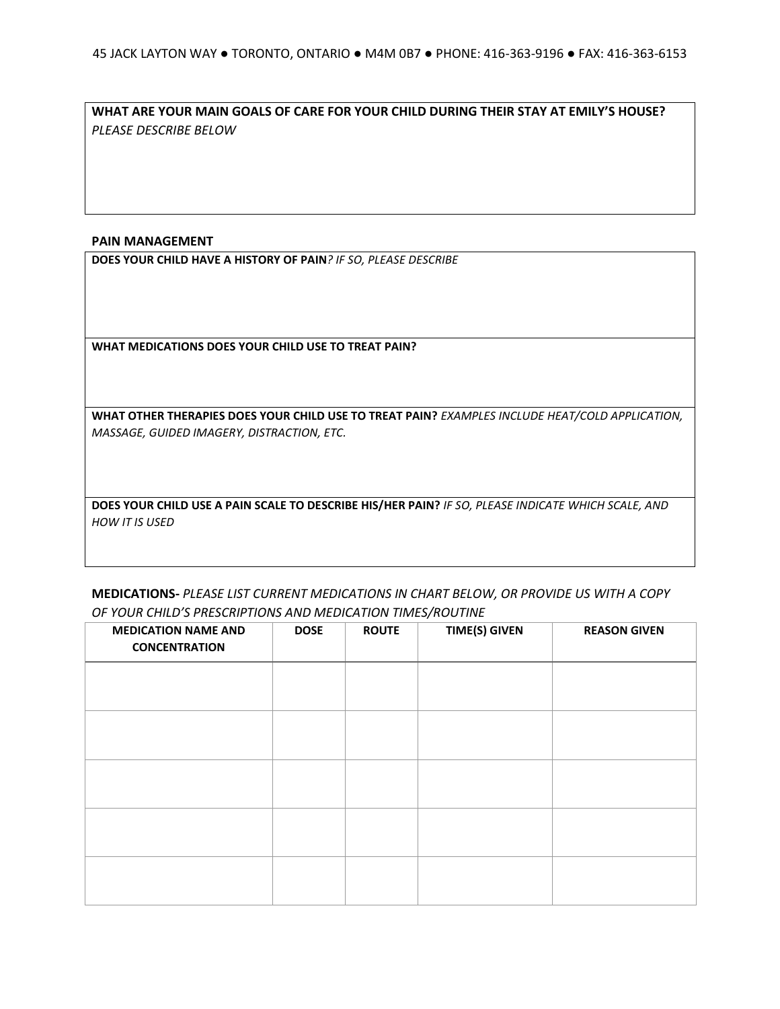**WHAT ARE YOUR MAIN GOALS OF CARE FOR YOUR CHILD DURING THEIR STAY AT EMILY'S HOUSE?**  *PLEASE DESCRIBE BELOW*

## **PAIN MANAGEMENT**

**DOES YOUR CHILD HAVE A HISTORY OF PAIN***? IF SO, PLEASE DESCRIBE*

**WHAT MEDICATIONS DOES YOUR CHILD USE TO TREAT PAIN?**

**WHAT OTHER THERAPIES DOES YOUR CHILD USE TO TREAT PAIN?** *EXAMPLES INCLUDE HEAT/COLD APPLICATION, MASSAGE, GUIDED IMAGERY, DISTRACTION, ETC.*

**DOES YOUR CHILD USE A PAIN SCALE TO DESCRIBE HIS/HER PAIN?** *IF SO, PLEASE INDICATE WHICH SCALE, AND HOW IT IS USED*

## **MEDICATIONS-** *PLEASE LIST CURRENT MEDICATIONS IN CHART BELOW, OR PROVIDE US WITH A COPY OF YOUR CHILD'S PRESCRIPTIONS AND MEDICATION TIMES/ROUTINE*

| <b>DOSE</b> | <b>ROUTE</b> | <b>TIME(S) GIVEN</b> | <b>REASON GIVEN</b> |
|-------------|--------------|----------------------|---------------------|
|             |              |                      |                     |
|             |              |                      |                     |
|             |              |                      |                     |
|             |              |                      |                     |
|             |              |                      |                     |
|             |              |                      |                     |
|             |              |                      |                     |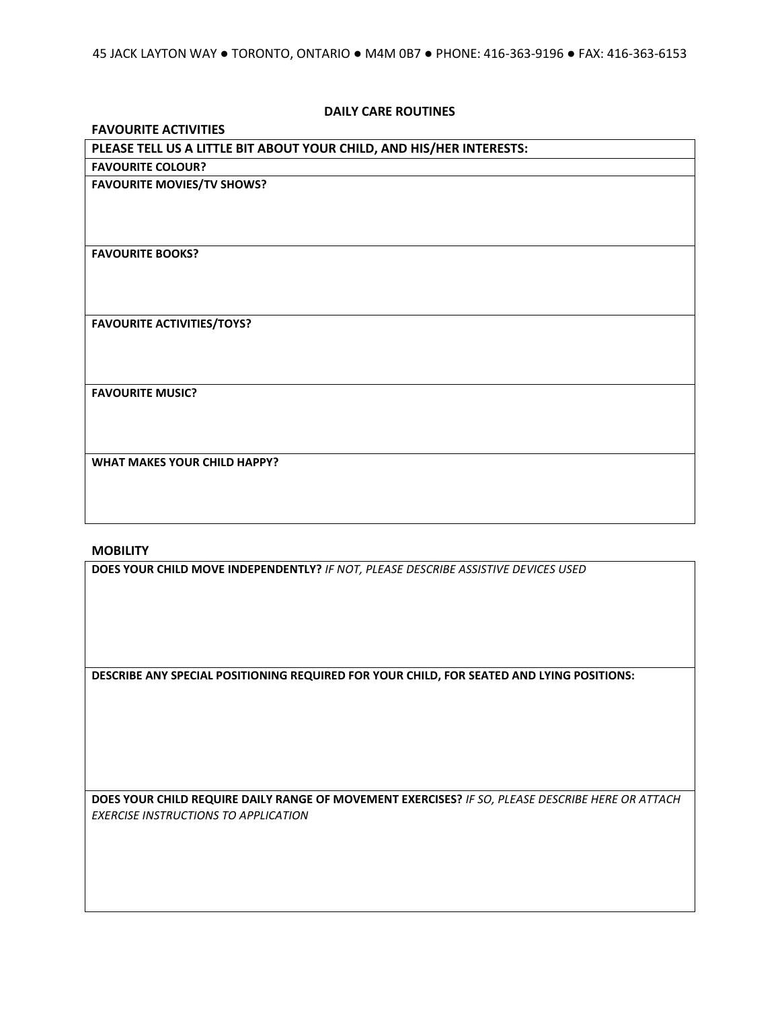## **DAILY CARE ROUTINES**

## **FAVOURITE ACTIVITIES**

# **PLEASE TELL US A LITTLE BIT ABOUT YOUR CHILD, AND HIS/HER INTERESTS: FAVOURITE COLOUR? FAVOURITE MOVIES/TV SHOWS? FAVOURITE BOOKS? FAVOURITE ACTIVITIES/TOYS? FAVOURITE MUSIC? WHAT MAKES YOUR CHILD HAPPY?**

## **MOBILITY**

**DOES YOUR CHILD MOVE INDEPENDENTLY?** *IF NOT, PLEASE DESCRIBE ASSISTIVE DEVICES USED*

**DESCRIBE ANY SPECIAL POSITIONING REQUIRED FOR YOUR CHILD, FOR SEATED AND LYING POSITIONS:**

**DOES YOUR CHILD REQUIRE DAILY RANGE OF MOVEMENT EXERCISES?** *IF SO, PLEASE DESCRIBE HERE OR ATTACH EXERCISE INSTRUCTIONS TO APPLICATION*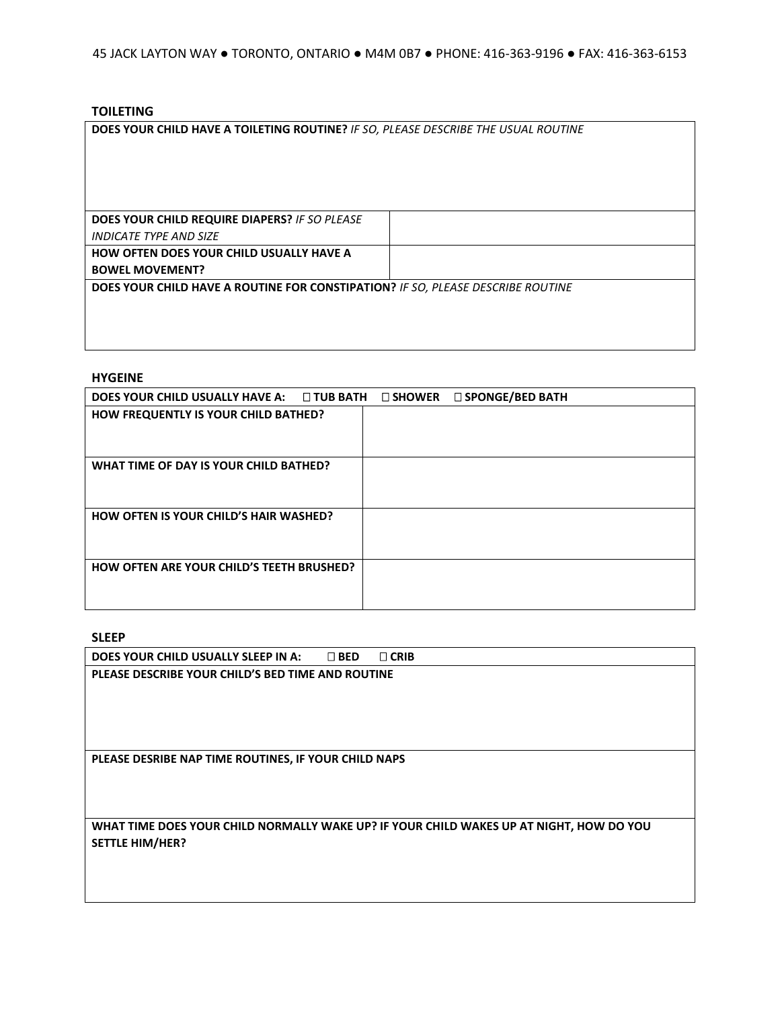## **TOILETING**

**DOES YOUR CHILD HAVE A TOILETING ROUTINE?** *IF SO, PLEASE DESCRIBE THE USUAL ROUTINE*

| DOES YOUR CHILD REQUIRE DIAPERS? IF SO PLEASE                                   |  |
|---------------------------------------------------------------------------------|--|
| <i><b>INDICATE TYPE AND SIZE</b></i>                                            |  |
| <b>HOW OFTEN DOES YOUR CHILD USUALLY HAVE A</b>                                 |  |
| <b>BOWEL MOVEMENT?</b>                                                          |  |
| DOES YOUR CHILD HAVE A ROUTINE FOR CONSTIPATION? IF SO, PLEASE DESCRIBE ROUTINE |  |
|                                                                                 |  |
|                                                                                 |  |

### **HYGEINE**

| DOES YOUR CHILD USUALLY HAVE A: □ TUB BATH □ SHOWER □ SPONGE/BED BATH |  |  |
|-----------------------------------------------------------------------|--|--|
| HOW FREQUENTLY IS YOUR CHILD BATHED?                                  |  |  |
|                                                                       |  |  |
|                                                                       |  |  |
| WHAT TIME OF DAY IS YOUR CHILD BATHED?                                |  |  |
|                                                                       |  |  |
|                                                                       |  |  |
| <b>HOW OFTEN IS YOUR CHILD'S HAIR WASHED?</b>                         |  |  |
|                                                                       |  |  |
|                                                                       |  |  |
| <b>HOW OFTEN ARE YOUR CHILD'S TEETH BRUSHED?</b>                      |  |  |
|                                                                       |  |  |
|                                                                       |  |  |

## **SLEEP**

| DOES YOUR CHILD USUALLY SLEEP IN A:<br>$\Box$ CRIB<br>$\Box$ BED                        |
|-----------------------------------------------------------------------------------------|
| PLEASE DESCRIBE YOUR CHILD'S BED TIME AND ROUTINE                                       |
|                                                                                         |
|                                                                                         |
|                                                                                         |
|                                                                                         |
| PLEASE DESRIBE NAP TIME ROUTINES, IF YOUR CHILD NAPS                                    |
|                                                                                         |
|                                                                                         |
| WHAT TIME DOES YOUR CHILD NORMALLY WAKE UP? IF YOUR CHILD WAKES UP AT NIGHT, HOW DO YOU |
| <b>SETTLE HIM/HER?</b>                                                                  |
|                                                                                         |
|                                                                                         |
|                                                                                         |